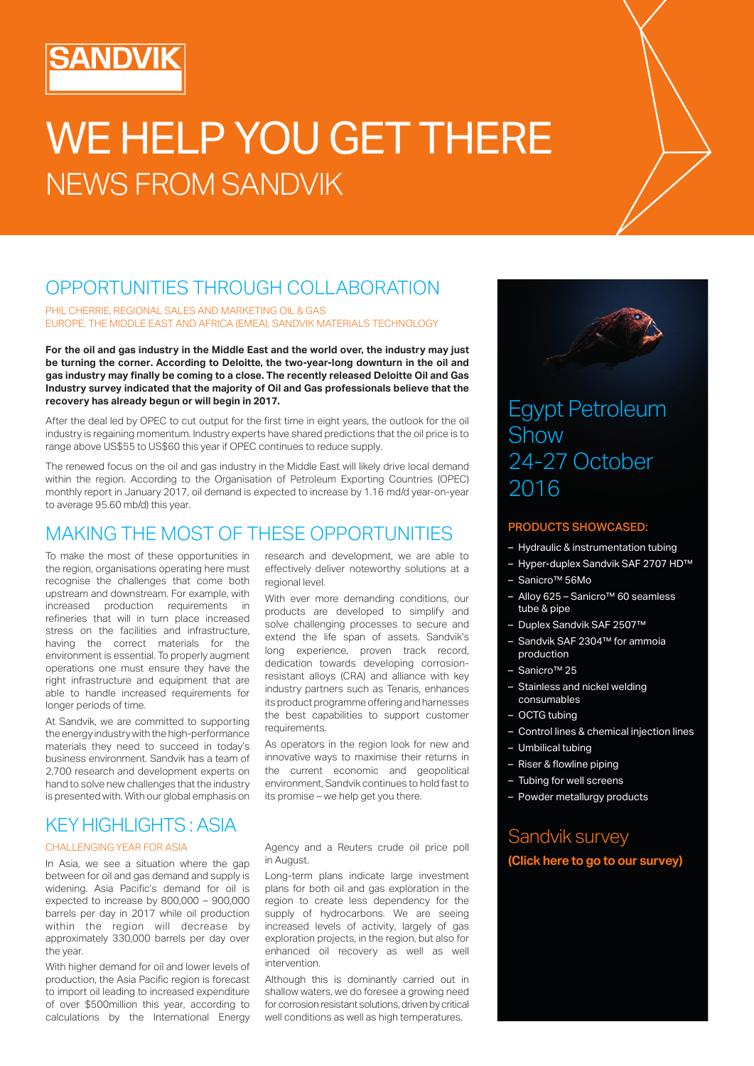# WE HELP YOU GET THERE NEWS FROM SANDVIK

### OPPORTUNITIES THROUGH COLLABORATION

PHIL CHERRIE, REGIONAL SALES AND MARKETING OIL & GAS EUROPE, THE MIDDLE EAST AND AFRICA (EMEA), SANDVIK MATERIALS TECHNOLOGY

**For the oil and gas industry in the Middle East and the world over, the industry may just be turning the corner. According to Deloitte, the two-year-long downturn in the oil and gas industry may finally be coming to a close. The recently released Deloitte Oil and Gas Industry survey indicated that the majority of Oil and Gas professionals believe that the recovery has already begun or will begin in 2017.** 

After the deal led by OPEC to cut output for the first time in eight years, the outlook for the oil industry is regaining momentum. Industry experts have shared predictions that the oil price is to range above US\$55 to US\$60 this year if OPEC continues to reduce supply.

The renewed focus on the oil and gas industry in the Middle East will likely drive local demand within the region. According to the Organisation of Petroleum Exporting Countries (OPEC) monthly report in January 2017, oil demand is expected to increase by 1.16 md/d year-on-year to average 95.60 mb/d) this year.

### MAKING THE MOST OF THESE OPPORTUNITIES

To make the most of these opportunities in the region, organisations operating here must recognise the challenges that come both upstream and downstream. For example, with increased production requirements in refineries that will in turn place increased stress on the facilities and infrastructure, having the correct materials for the environment is essential. To properly augment operations one must ensure they have the right infrastructure and equipment that are able to handle increased requirements for longer periods of time.

At Sandvik, we are committed to supporting the energy industry with the high-performance materials they need to succeed in today's business environment. Sandvik has a team of 2,700 research and development experts on hand to solve new challenges that the industry is presented with. With our global emphasis on

research and development, we are able to effectively deliver noteworthy solutions at a regional level.

With ever more demanding conditions, our products are developed to simplify and solve challenging processes to secure and extend the life span of assets. Sandvik's long experience, proven track record, dedication towards developing corrosionresistant alloys (CRA) and alliance with key industry partners such as Tenaris, enhances its product programme offering and harnesses the best capabilities to support customer requirements.

As operators in the region look for new and innovative ways to maximise their returns in the current economic and geopolitical environment, Sandvik continues to hold fast to its promise – we help get you there.

### KEY HIGHLIGHTS : ASIA

#### CHALLENGING YEAR FOR ASIA

In Asia, we see a situation where the gap between for oil and gas demand and supply is widening. Asia Pacific's demand for oil is expected to increase by 800,000 – 900,000 barrels per day in 2017 while oil production within the region will decrease by approximately 330,000 barrels per day over the year.

With higher demand for oil and lower levels of production, the Asia Pacific region is forecast to import oil leading to increased expenditure of over \$500million this year, according to calculations by the International Energy Agency and a Reuters crude oil price poll in August.

Long-term plans indicate large investment plans for both oil and gas exploration in the region to create less dependency for the supply of hydrocarbons. We are seeing increased levels of activity, largely of gas exploration projects, in the region, but also for enhanced oil recovery as well as well intervention.

Although this is dominantly carried out in shallow waters, we do foresee a growing need for corrosion resistant solutions, driven by critical well conditions as well as high temperatures.



### Egypt Petroleum Show 24-27 October 2016

### PRODUCTS SHOWCASED:

- Hydraulic & instrumentation tubing
- Hyper-duplex Sandvik SAF 2707 HD™
- Sanicro™ 56Mo
- Alloy 625 Sanicro™ 60 seamless tube & pipe
- Duplex Sandvik SAF 2507™
- Sandvik SAF 2304™ for ammoia production
- Sanicro™ 25
- Stainless and nickel welding consumables
- OCTG tubing
- Control lines & chemical injection lines
- Umbilical tubing
- – Riser & flowline piping
- Tubing for well screens
- Powder metallurgy products

### Sandvik survey **(Click here to go to our survey)**